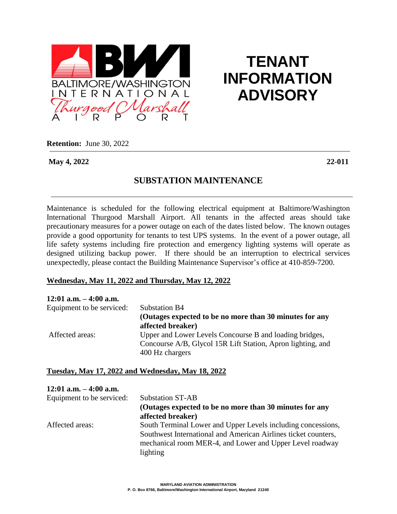

# **TENANT INFORMATION ADVISORY**

**Retention:** June 30, 2022

**May 4, 2022 22-011**

# **SUBSTATION MAINTENANCE**

Maintenance is scheduled for the following electrical equipment at Baltimore/Washington International Thurgood Marshall Airport. All tenants in the affected areas should take precautionary measures for a power outage on each of the dates listed below. The known outages provide a good opportunity for tenants to test UPS systems. In the event of a power outage, all life safety systems including fire protection and emergency lighting systems will operate as designed utilizing backup power. If there should be an interruption to electrical services unexpectedly, please contact the Building Maintenance Supervisor's office at 410-859-7200.

#### **Wednesday, May 11, 2022 and Thursday, May 12, 2022**

| $12:01$ a.m. $-4:00$ a.m. |                                                                                |
|---------------------------|--------------------------------------------------------------------------------|
| Equipment to be serviced: | <b>Substation B4</b>                                                           |
|                           | (Outages expected to be no more than 30 minutes for any<br>affected breaker)   |
| Affected areas:           | Upper and Lower Levels Concourse B and loading bridges,                        |
|                           | Concourse A/B, Glycol 15R Lift Station, Apron lighting, and<br>400 Hz chargers |

#### **Tuesday, May 17, 2022 and Wednesday, May 18, 2022**

| $12:01$ a.m. $-4:00$ a.m. |                                                                |
|---------------------------|----------------------------------------------------------------|
| Equipment to be serviced: | <b>Substation ST-AB</b>                                        |
|                           | (Outages expected to be no more than 30 minutes for any        |
|                           | affected breaker)                                              |
| Affected areas:           | South Terminal Lower and Upper Levels including concessions,   |
|                           | Southwest International and American Airlines ticket counters, |
|                           | mechanical room MER-4, and Lower and Upper Level roadway       |
|                           | lighting                                                       |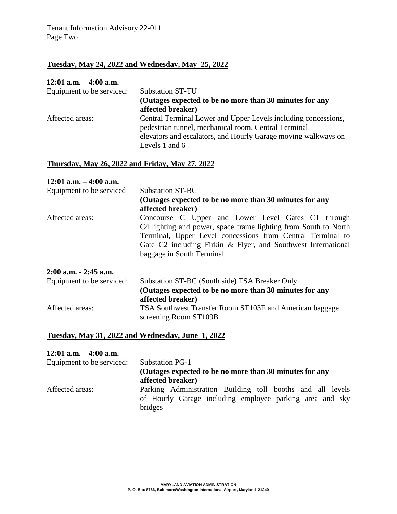## **Tuesday, May 24, 2022 and Wednesday, May 25, 2022**

#### **12:01 a.m. – 4:00 a.m.**

| Equipment to be serviced: | <b>Substation ST-TU</b>                                        |
|---------------------------|----------------------------------------------------------------|
|                           | (Outages expected to be no more than 30 minutes for any        |
|                           | affected breaker)                                              |
| Affected areas:           | Central Terminal Lower and Upper Levels including concessions, |
|                           | pedestrian tunnel, mechanical room, Central Terminal           |
|                           | elevators and escalators, and Hourly Garage moving walkways on |
|                           | Levels 1 and 6                                                 |

#### **Thursday, May 26, 2022 and Friday, May 27, 2022**

| $12:01$ a.m. $-4:00$ a.m.<br>Equipment to be serviced | Substation ST-BC                                                                                                                                                                                                                                                                  |
|-------------------------------------------------------|-----------------------------------------------------------------------------------------------------------------------------------------------------------------------------------------------------------------------------------------------------------------------------------|
|                                                       | (Outages expected to be no more than 30 minutes for any                                                                                                                                                                                                                           |
|                                                       | affected breaker)                                                                                                                                                                                                                                                                 |
| Affected areas:                                       | Concourse C Upper and Lower Level Gates C1 through<br>C4 lighting and power, space frame lighting from South to North<br>Terminal, Upper Level concessions from Central Terminal to<br>Gate C2 including Firkin & Flyer, and Southwest International<br>baggage in South Terminal |
| $2:00$ a.m. $-2:45$ a.m.                              |                                                                                                                                                                                                                                                                                   |
| Equipment to be serviced:                             | Substation ST-BC (South side) TSA Breaker Only                                                                                                                                                                                                                                    |
|                                                       | (Outages expected to be no more than 30 minutes for any<br>affected breaker)                                                                                                                                                                                                      |
| Affected areas:                                       | TSA Southwest Transfer Room ST103E and American baggage<br>screening Room ST109B                                                                                                                                                                                                  |

#### **Tuesday, May 31, 2022 and Wednesday, June 1, 2022**

## **12:01 a.m. – 4:00 a.m.**

| Equipment to be serviced: | Substation PG-1                                            |
|---------------------------|------------------------------------------------------------|
|                           | (Outages expected to be no more than 30 minutes for any    |
|                           | affected breaker)                                          |
| Affected areas:           | Parking Administration Building toll booths and all levels |
|                           | of Hourly Garage including employee parking area and sky   |
|                           | bridges                                                    |